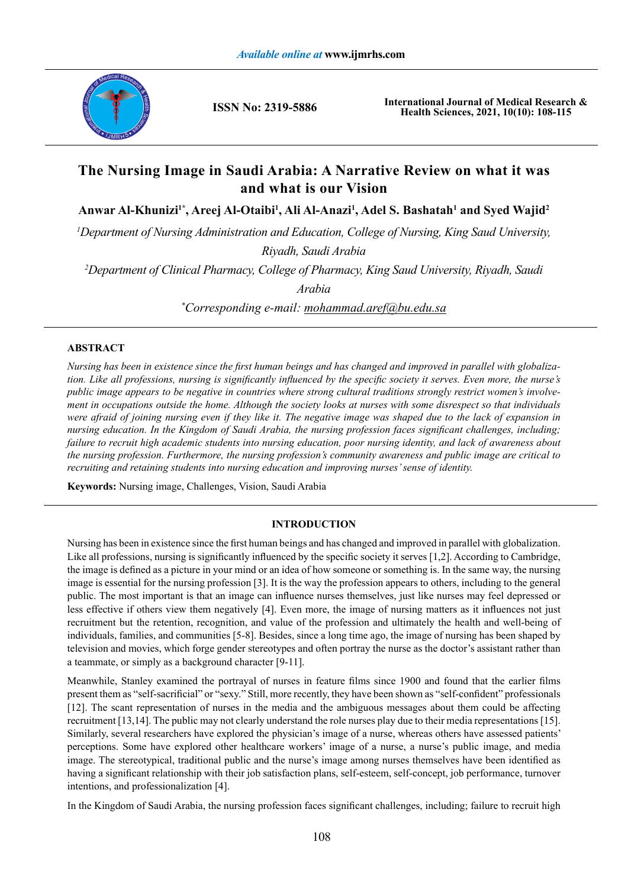

**ISSN No: 2319-5886**

**International Journal of Medical Research & Health Sciences, 2021, 10(10): 108-115**

# **The Nursing Image in Saudi Arabia: A Narrative Review on what it was and what is our Vision**

Anwar Al-Khunizi<sup>1\*</sup>, Areej Al-Otaibi<sup>1</sup>, Ali Al-Anazi<sup>1</sup>, Adel S. Bashatah<sup>1</sup> and Syed Wajid<sup>2</sup>

*1 Department of Nursing Administration and Education, College of Nursing, King Saud University, Riyadh, Saudi Arabia*

*2 Department of Clinical Pharmacy, College of Pharmacy, King Saud University, Riyadh, Saudi* 

*Arabia*

*\* Corresponding e-mail: mohammad.aref@bu.edu.sa*

# **ABSTRACT**

*Nursing has been in existence since the first human beings and has changed and improved in parallel with globalization. Like all professions, nursing is significantly influenced by the specific society it serves. Even more, the nurse's public image appears to be negative in countries where strong cultural traditions strongly restrict women's involvement in occupations outside the home. Although the society looks at nurses with some disrespect so that individuals were afraid of joining nursing even if they like it. The negative image was shaped due to the lack of expansion in nursing education. In the Kingdom of Saudi Arabia, the nursing profession faces significant challenges, including; failure to recruit high academic students into nursing education, poor nursing identity, and lack of awareness about the nursing profession. Furthermore, the nursing profession's community awareness and public image are critical to recruiting and retaining students into nursing education and improving nurses' sense of identity.*

**Keywords:** Nursing image, Challenges, Vision, Saudi Arabia

## **INTRODUCTION**

Nursing has been in existence since the first human beings and has changed and improved in parallel with globalization. Like all professions, nursing is significantly influenced by the specific society it serves [1,2]. According to Cambridge, the image is defined as a picture in your mind or an idea of how someone or something is. In the same way, the nursing image is essential for the nursing profession [3]. It is the way the profession appears to others, including to the general public. The most important is that an image can influence nurses themselves, just like nurses may feel depressed or less effective if others view them negatively [4]. Even more, the image of nursing matters as it influences not just recruitment but the retention, recognition, and value of the profession and ultimately the health and well-being of individuals, families, and communities [5-8]. Besides, since a long time ago, the image of nursing has been shaped by television and movies, which forge gender stereotypes and often portray the nurse as the doctor's assistant rather than a teammate, or simply as a background character [9-11].

Meanwhile, Stanley examined the portrayal of nurses in feature films since 1900 and found that the earlier films present them as "self-sacrificial" or "sexy." Still, more recently, they have been shown as "self-confident" professionals [12]. The scant representation of nurses in the media and the ambiguous messages about them could be affecting recruitment [13,14]. The public may not clearly understand the role nurses play due to their media representations [15]. Similarly, several researchers have explored the physician's image of a nurse, whereas others have assessed patients' perceptions. Some have explored other healthcare workers' image of a nurse, a nurse's public image, and media image. The stereotypical, traditional public and the nurse's image among nurses themselves have been identified as having a significant relationship with their job satisfaction plans, self-esteem, self-concept, job performance, turnover intentions, and professionalization [4].

In the Kingdom of Saudi Arabia, the nursing profession faces significant challenges, including; failure to recruit high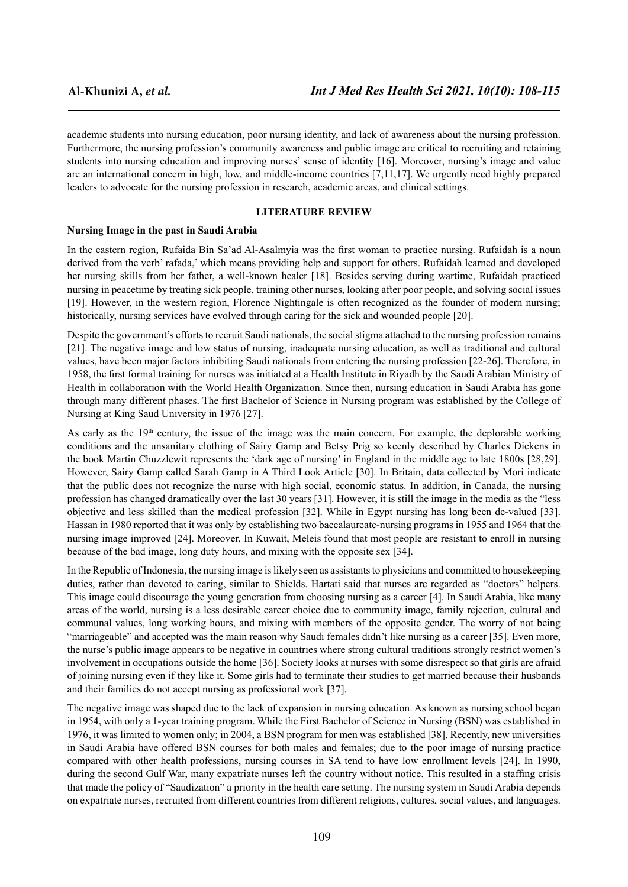academic students into nursing education, poor nursing identity, and lack of awareness about the nursing profession. Furthermore, the nursing profession's community awareness and public image are critical to recruiting and retaining students into nursing education and improving nurses' sense of identity [16]. Moreover, nursing's image and value are an international concern in high, low, and middle-income countries [7,11,17]. We urgently need highly prepared leaders to advocate for the nursing profession in research, academic areas, and clinical settings.

# **LITERATURE REVIEW**

#### **Nursing Image in the past in Saudi Arabia**

In the eastern region, Rufaida Bin Sa'ad Al-Asalmyia was the first woman to practice nursing. Rufaidah is a noun derived from the verb' rafada,' which means providing help and support for others. Rufaidah learned and developed her nursing skills from her father, a well-known healer [18]. Besides serving during wartime, Rufaidah practiced nursing in peacetime by treating sick people, training other nurses, looking after poor people, and solving social issues [19]. However, in the western region, Florence Nightingale is often recognized as the founder of modern nursing; historically, nursing services have evolved through caring for the sick and wounded people [20].

Despite the government's efforts to recruit Saudi nationals, the social stigma attached to the nursing profession remains [21]. The negative image and low status of nursing, inadequate nursing education, as well as traditional and cultural values, have been major factors inhibiting Saudi nationals from entering the nursing profession [22-26]. Therefore, in 1958, the first formal training for nurses was initiated at a Health Institute in Riyadh by the Saudi Arabian Ministry of Health in collaboration with the World Health Organization. Since then, nursing education in Saudi Arabia has gone through many different phases. The first Bachelor of Science in Nursing program was established by the College of Nursing at King Saud University in 1976 [27].

As early as the  $19<sup>th</sup>$  century, the issue of the image was the main concern. For example, the deplorable working conditions and the unsanitary clothing of Sairy Gamp and Betsy Prig so keenly described by Charles Dickens in the book Martin Chuzzlewit represents the 'dark age of nursing' in England in the middle age to late 1800s [28,29]. However, Sairy Gamp called Sarah Gamp in A Third Look Article [30]. In Britain, data collected by Mori indicate that the public does not recognize the nurse with high social, economic status. In addition, in Canada, the nursing profession has changed dramatically over the last 30 years [31]. However, it is still the image in the media as the "less objective and less skilled than the medical profession [32]. While in Egypt nursing has long been de-valued [33]. Hassan in 1980 reported that it was only by establishing two baccalaureate-nursing programs in 1955 and 1964 that the nursing image improved [24]. Moreover, In Kuwait, Meleis found that most people are resistant to enroll in nursing because of the bad image, long duty hours, and mixing with the opposite sex [34].

In the Republic of Indonesia, the nursing image is likely seen as assistants to physicians and committed to housekeeping duties, rather than devoted to caring, similar to Shields. Hartati said that nurses are regarded as "doctors" helpers. This image could discourage the young generation from choosing nursing as a career [4]. In Saudi Arabia, like many areas of the world, nursing is a less desirable career choice due to community image, family rejection, cultural and communal values, long working hours, and mixing with members of the opposite gender. The worry of not being "marriageable" and accepted was the main reason why Saudi females didn't like nursing as a career [35]. Even more, the nurse's public image appears to be negative in countries where strong cultural traditions strongly restrict women's involvement in occupations outside the home [36]. Society looks at nurses with some disrespect so that girls are afraid of joining nursing even if they like it. Some girls had to terminate their studies to get married because their husbands and their families do not accept nursing as professional work [37].

The negative image was shaped due to the lack of expansion in nursing education. As known as nursing school began in 1954, with only a 1-year training program. While the First Bachelor of Science in Nursing (BSN) was established in 1976, it was limited to women only; in 2004, a BSN program for men was established [38]. Recently, new universities in Saudi Arabia have offered BSN courses for both males and females; due to the poor image of nursing practice compared with other health professions, nursing courses in SA tend to have low enrollment levels [24]. In 1990, during the second Gulf War, many expatriate nurses left the country without notice. This resulted in a staffing crisis that made the policy of "Saudization" a priority in the health care setting. The nursing system in Saudi Arabia depends on expatriate nurses, recruited from different countries from different religions, cultures, social values, and languages.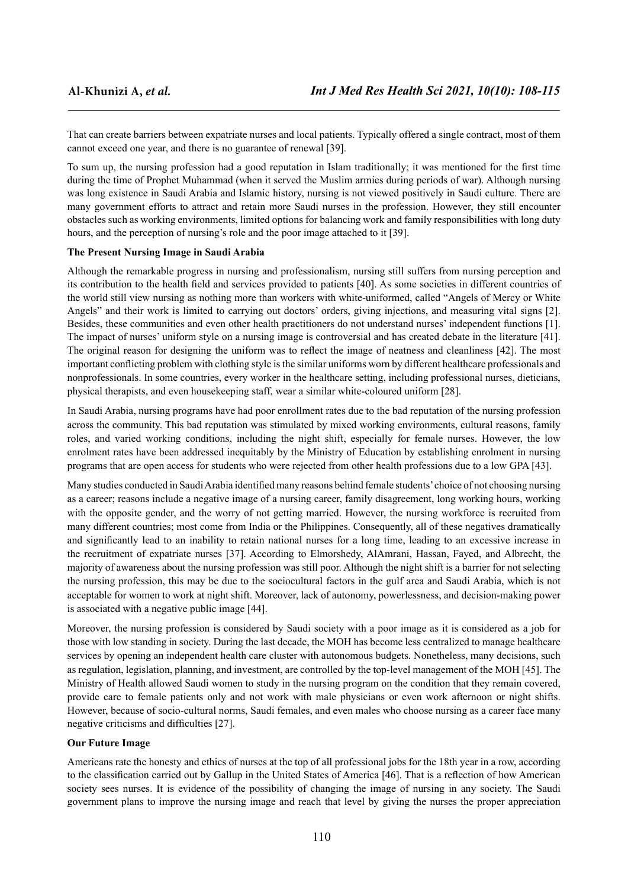That can create barriers between expatriate nurses and local patients. Typically offered a single contract, most of them cannot exceed one year, and there is no guarantee of renewal [39].

To sum up, the nursing profession had a good reputation in Islam traditionally; it was mentioned for the first time during the time of Prophet Muhammad (when it served the Muslim armies during periods of war). Although nursing was long existence in Saudi Arabia and Islamic history, nursing is not viewed positively in Saudi culture. There are many government efforts to attract and retain more Saudi nurses in the profession. However, they still encounter obstacles such as working environments, limited options for balancing work and family responsibilities with long duty hours, and the perception of nursing's role and the poor image attached to it [39].

## **The Present Nursing Image in Saudi Arabia**

Although the remarkable progress in nursing and professionalism, nursing still suffers from nursing perception and its contribution to the health field and services provided to patients [40]. As some societies in different countries of the world still view nursing as nothing more than workers with white-uniformed, called "Angels of Mercy or White Angels" and their work is limited to carrying out doctors' orders, giving injections, and measuring vital signs [2]. Besides, these communities and even other health practitioners do not understand nurses' independent functions [1]. The impact of nurses' uniform style on a nursing image is controversial and has created debate in the literature [41]. The original reason for designing the uniform was to reflect the image of neatness and cleanliness [42]. The most important conflicting problem with clothing style is the similar uniforms worn by different healthcare professionals and nonprofessionals. In some countries, every worker in the healthcare setting, including professional nurses, dieticians, physical therapists, and even housekeeping staff, wear a similar white-coloured uniform [28].

In Saudi Arabia, nursing programs have had poor enrollment rates due to the bad reputation of the nursing profession across the community. This bad reputation was stimulated by mixed working environments, cultural reasons, family roles, and varied working conditions, including the night shift, especially for female nurses. However, the low enrolment rates have been addressed inequitably by the Ministry of Education by establishing enrolment in nursing programs that are open access for students who were rejected from other health professions due to a low GPA [43].

Many studies conducted in Saudi Arabia identified many reasons behind female students' choice of not choosing nursing as a career; reasons include a negative image of a nursing career, family disagreement, long working hours, working with the opposite gender, and the worry of not getting married. However, the nursing workforce is recruited from many different countries; most come from India or the Philippines. Consequently, all of these negatives dramatically and significantly lead to an inability to retain national nurses for a long time, leading to an excessive increase in the recruitment of expatriate nurses [37]. According to Elmorshedy, AlAmrani, Hassan, Fayed, and Albrecht, the majority of awareness about the nursing profession was still poor. Although the night shift is a barrier for not selecting the nursing profession, this may be due to the sociocultural factors in the gulf area and Saudi Arabia, which is not acceptable for women to work at night shift. Moreover, lack of autonomy, powerlessness, and decision-making power is associated with a negative public image [44].

Moreover, the nursing profession is considered by Saudi society with a poor image as it is considered as a job for those with low standing in society. During the last decade, the MOH has become less centralized to manage healthcare services by opening an independent health care cluster with autonomous budgets. Nonetheless, many decisions, such as regulation, legislation, planning, and investment, are controlled by the top-level management of the MOH [45]. The Ministry of Health allowed Saudi women to study in the nursing program on the condition that they remain covered, provide care to female patients only and not work with male physicians or even work afternoon or night shifts. However, because of socio-cultural norms, Saudi females, and even males who choose nursing as a career face many negative criticisms and difficulties [27].

# **Our Future Image**

Americans rate the honesty and ethics of nurses at the top of all professional jobs for the 18th year in a row, according to the classification carried out by Gallup in the United States of America [46]. That is a reflection of how American society sees nurses. It is evidence of the possibility of changing the image of nursing in any society. The Saudi government plans to improve the nursing image and reach that level by giving the nurses the proper appreciation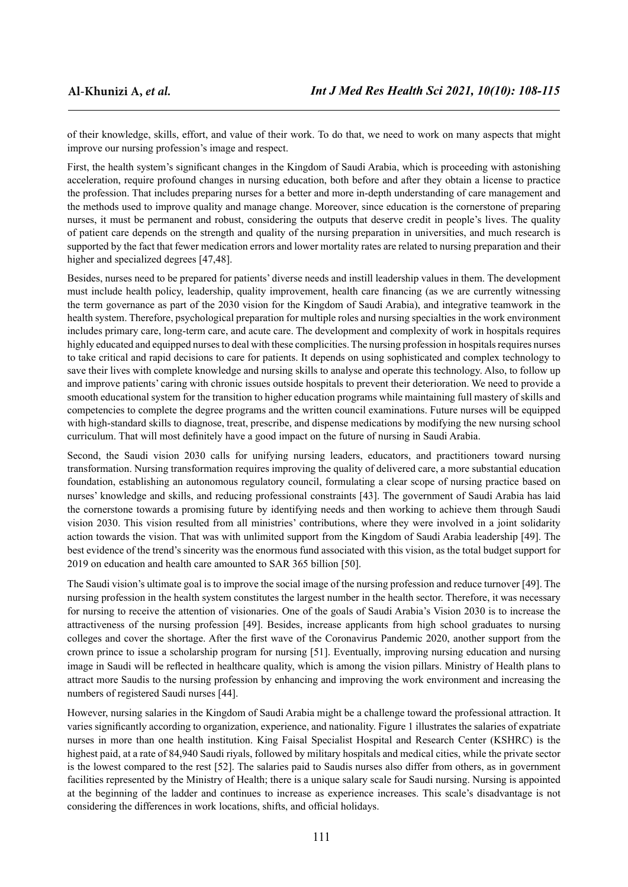of their knowledge, skills, effort, and value of their work. To do that, we need to work on many aspects that might improve our nursing profession's image and respect.

First, the health system's significant changes in the Kingdom of Saudi Arabia, which is proceeding with astonishing acceleration, require profound changes in nursing education, both before and after they obtain a license to practice the profession. That includes preparing nurses for a better and more in-depth understanding of care management and the methods used to improve quality and manage change. Moreover, since education is the cornerstone of preparing nurses, it must be permanent and robust, considering the outputs that deserve credit in people's lives. The quality of patient care depends on the strength and quality of the nursing preparation in universities, and much research is supported by the fact that fewer medication errors and lower mortality rates are related to nursing preparation and their higher and specialized degrees [47,48].

Besides, nurses need to be prepared for patients' diverse needs and instill leadership values in them. The development must include health policy, leadership, quality improvement, health care financing (as we are currently witnessing the term governance as part of the 2030 vision for the Kingdom of Saudi Arabia), and integrative teamwork in the health system. Therefore, psychological preparation for multiple roles and nursing specialties in the work environment includes primary care, long-term care, and acute care. The development and complexity of work in hospitals requires highly educated and equipped nurses to deal with these complicities. The nursing profession in hospitals requires nurses to take critical and rapid decisions to care for patients. It depends on using sophisticated and complex technology to save their lives with complete knowledge and nursing skills to analyse and operate this technology. Also, to follow up and improve patients' caring with chronic issues outside hospitals to prevent their deterioration. We need to provide a smooth educational system for the transition to higher education programs while maintaining full mastery of skills and competencies to complete the degree programs and the written council examinations. Future nurses will be equipped with high-standard skills to diagnose, treat, prescribe, and dispense medications by modifying the new nursing school curriculum. That will most definitely have a good impact on the future of nursing in Saudi Arabia.

Second, the Saudi vision 2030 calls for unifying nursing leaders, educators, and practitioners toward nursing transformation. Nursing transformation requires improving the quality of delivered care, a more substantial education foundation, establishing an autonomous regulatory council, formulating a clear scope of nursing practice based on nurses' knowledge and skills, and reducing professional constraints [43]. The government of Saudi Arabia has laid the cornerstone towards a promising future by identifying needs and then working to achieve them through Saudi vision 2030. This vision resulted from all ministries' contributions, where they were involved in a joint solidarity action towards the vision. That was with unlimited support from the Kingdom of Saudi Arabia leadership [49]. The best evidence of the trend's sincerity was the enormous fund associated with this vision, as the total budget support for 2019 on education and health care amounted to SAR 365 billion [50].

The Saudi vision's ultimate goal is to improve the social image of the nursing profession and reduce turnover [49]. The nursing profession in the health system constitutes the largest number in the health sector. Therefore, it was necessary for nursing to receive the attention of visionaries. One of the goals of Saudi Arabia's Vision 2030 is to increase the attractiveness of the nursing profession [49]. Besides, increase applicants from high school graduates to nursing colleges and cover the shortage. After the first wave of the Coronavirus Pandemic 2020, another support from the crown prince to issue a scholarship program for nursing [51]. Eventually, improving nursing education and nursing image in Saudi will be reflected in healthcare quality, which is among the vision pillars. Ministry of Health plans to attract more Saudis to the nursing profession by enhancing and improving the work environment and increasing the numbers of registered Saudi nurses [44].

However, nursing salaries in the Kingdom of Saudi Arabia might be a challenge toward the professional attraction. It varies significantly according to organization, experience, and nationality. Figure 1 illustrates the salaries of expatriate nurses in more than one health institution. King Faisal Specialist Hospital and Research Center (KSHRC) is the highest paid, at a rate of 84,940 Saudi riyals, followed by military hospitals and medical cities, while the private sector is the lowest compared to the rest [52]. The salaries paid to Saudis nurses also differ from others, as in government facilities represented by the Ministry of Health; there is a unique salary scale for Saudi nursing. Nursing is appointed at the beginning of the ladder and continues to increase as experience increases. This scale's disadvantage is not considering the differences in work locations, shifts, and official holidays.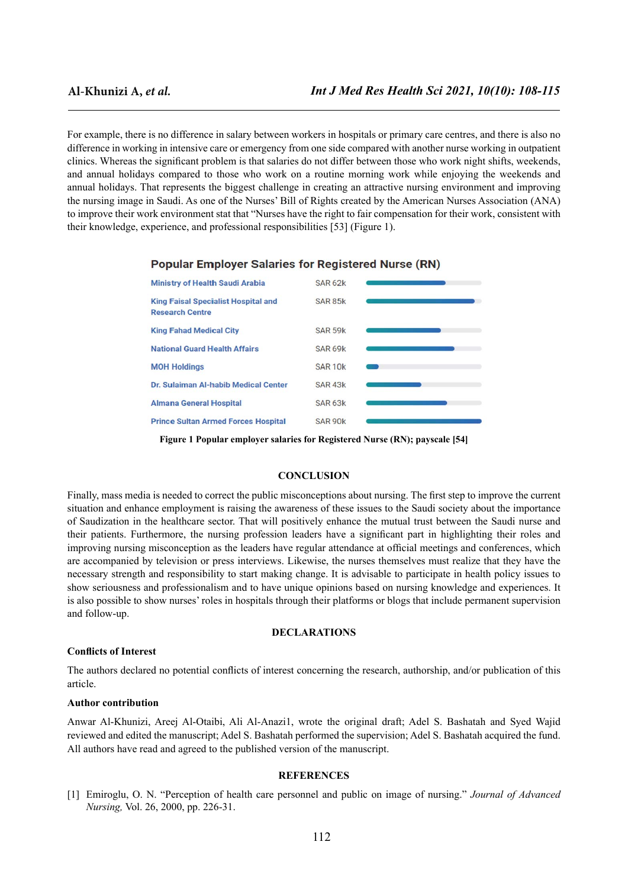For example, there is no difference in salary between workers in hospitals or primary care centres, and there is also no difference in working in intensive care or emergency from one side compared with another nurse working in outpatient clinics. Whereas the significant problem is that salaries do not differ between those who work night shifts, weekends, and annual holidays compared to those who work on a routine morning work while enjoying the weekends and annual holidays. That represents the biggest challenge in creating an attractive nursing environment and improving the nursing image in Saudi. As one of the Nurses' Bill of Rights created by the American Nurses Association (ANA) to improve their work environment stat that "Nurses have the right to fair compensation for their work, consistent with their knowledge, experience, and professional responsibilities [53] (Figure 1).



## **Popular Employer Salaries for Registered Nurse (RN)**

**Figure 1 Popular employer salaries for Registered Nurse (RN); payscale [54]** 

#### **CONCLUSION**

Finally, mass media is needed to correct the public misconceptions about nursing. The first step to improve the current situation and enhance employment is raising the awareness of these issues to the Saudi society about the importance of Saudization in the healthcare sector. That will positively enhance the mutual trust between the Saudi nurse and their patients. Furthermore, the nursing profession leaders have a significant part in highlighting their roles and improving nursing misconception as the leaders have regular attendance at official meetings and conferences, which are accompanied by television or press interviews. Likewise, the nurses themselves must realize that they have the necessary strength and responsibility to start making change. It is advisable to participate in health policy issues to show seriousness and professionalism and to have unique opinions based on nursing knowledge and experiences. It is also possible to show nurses' roles in hospitals through their platforms or blogs that include permanent supervision and follow-up.

## **DECLARATIONS**

## **Conflicts of Interest**

The authors declared no potential conflicts of interest concerning the research, authorship, and/or publication of this article.

#### **Author contribution**

Anwar Al-Khunizi, Areej Al-Otaibi, Ali Al-Anazi1, wrote the original draft; Adel S. Bashatah and Syed Wajid reviewed and edited the manuscript; Adel S. Bashatah performed the supervision; Adel S. Bashatah acquired the fund. All authors have read and agreed to the published version of the manuscript.

## **REFERENCES**

[1] Emiroglu, O. N. "Perception of health care personnel and public on image of nursing." *Journal of Advanced Nursing,* Vol. 26, 2000, pp. 226-31.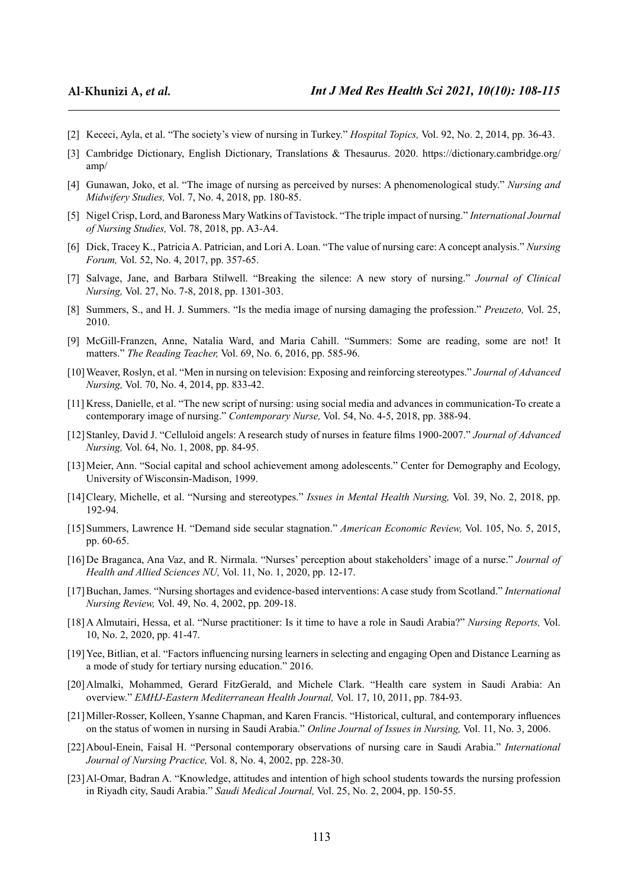- [2] Kececi, Ayla, et al. "The society's view of nursing in Turkey." *Hospital Topics,* Vol. 92, No. 2, 2014, pp. 36-43.
- [3] Cambridge Dictionary, English Dictionary, Translations & Thesaurus. 2020. [https://dictionary.cambridge.org/](https://dictionary.cambridge.org/amp/) [amp/](https://dictionary.cambridge.org/amp/)
- [4] Gunawan, Joko, et al. "The image of nursing as perceived by nurses: A phenomenological study." *Nursing and Midwifery Studies,* Vol. 7, No. 4, 2018, pp. 180-85.
- [5] Nigel Crisp, Lord, and Baroness Mary Watkins of Tavistock. "The triple impact of nursing." *International Journal of Nursing Studies,* Vol. 78, 2018, pp. A3-A4.
- [6] Dick, Tracey K., Patricia A. Patrician, and Lori A. Loan. "The value of nursing care: A concept analysis." *Nursing Forum,* Vol. 52, No. 4, 2017, pp. 357-65.
- [7] Salvage, Jane, and Barbara Stilwell. "Breaking the silence: A new story of nursing." *Journal of Clinical Nursing,* Vol. 27, No. 7-8, 2018, pp. 1301-303.
- [8] Summers, S., and H. J. Summers. "Is the media image of nursing damaging the profession." *Preuzeto,* Vol. 25, 2010.
- [9] McGill-Franzen, Anne, Natalia Ward, and Maria Cahill. "Summers: Some are reading, some are not! It matters." *The Reading Teacher,* Vol. 69, No. 6, 2016, pp. 585-96.
- [10]Weaver, Roslyn, et al. "Men in nursing on television: Exposing and reinforcing stereotypes." *Journal of Advanced Nursing,* Vol. 70, No. 4, 2014, pp. 833-42.
- [11] Kress, Danielle, et al. "The new script of nursing: using social media and advances in communication-To create a contemporary image of nursing." *Contemporary Nurse,* Vol. 54, No. 4-5, 2018, pp. 388-94.
- [12]Stanley, David J. "Celluloid angels: A research study of nurses in feature films 1900-2007." *Journal of Advanced Nursing,* Vol. 64, No. 1, 2008, pp. 84-95.
- [13]Meier, Ann. "Social capital and school achievement among adolescents." Center for Demography and Ecology, University of Wisconsin-Madison, 1999.
- [14]Cleary, Michelle, et al. "Nursing and stereotypes." *Issues in Mental Health Nursing,* Vol. 39, No. 2, 2018, pp. 192-94.
- [15]Summers, Lawrence H. "Demand side secular stagnation." *American Economic Review,* Vol. 105, No. 5, 2015, pp. 60-65.
- [16]De Braganca, Ana Vaz, and R. Nirmala. "Nurses' perception about stakeholders' image of a nurse." *Journal of Health and Allied Sciences NU,* Vol. 11, No. 1, 2020, pp. 12-17.
- [17]Buchan, James. "Nursing shortages and evidence-based interventions: A case study from Scotland." *International Nursing Review,* Vol. 49, No. 4, 2002, pp. 209-18.
- [18]A Almutairi, Hessa, et al. "Nurse practitioner: Is it time to have a role in Saudi Arabia?" *Nursing Reports,* Vol. 10, No. 2, 2020, pp. 41-47.
- [19]Yee, Bitlian, et al. "Factors influencing nursing learners in selecting and engaging Open and Distance Learning as a mode of study for tertiary nursing education." 2016.
- [20]Almalki, Mohammed, Gerard FitzGerald, and Michele Clark. "Health care system in Saudi Arabia: An overview." *EMHJ-Eastern Mediterranean Health Journal,* Vol. 17, 10, 2011, pp. 784-93.
- [21]Miller-Rosser, Kolleen, Ysanne Chapman, and Karen Francis. "Historical, cultural, and contemporary influences on the status of women in nursing in Saudi Arabia." *Online Journal of Issues in Nursing,* Vol. 11, No. 3, 2006.
- [22]Aboul-Enein, Faisal H. "Personal contemporary observations of nursing care in Saudi Arabia." *International Journal of Nursing Practice,* Vol. 8, No. 4, 2002, pp. 228-30.
- [23]Al-Omar, Badran A. "Knowledge, attitudes and intention of high school students towards the nursing profession in Riyadh city, Saudi Arabia." *Saudi Medical Journal,* Vol. 25, No. 2, 2004, pp. 150-55.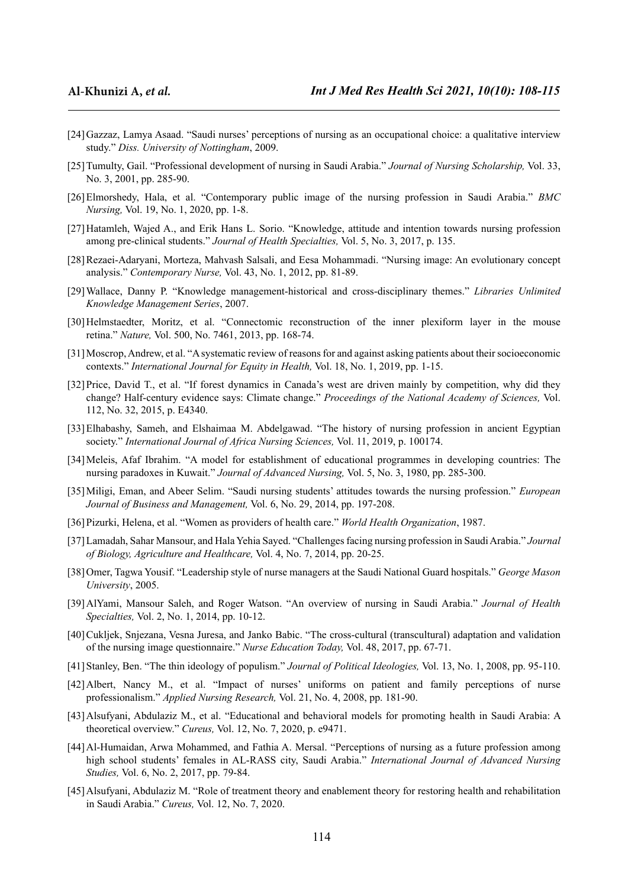- [24]Gazzaz, Lamya Asaad. "Saudi nurses' perceptions of nursing as an occupational choice: a qualitative interview study." *Diss. University of Nottingham*, 2009.
- [25]Tumulty, Gail. "Professional development of nursing in Saudi Arabia." *Journal of Nursing Scholarship,* Vol. 33, No. 3, 2001, pp. 285-90.
- [26]Elmorshedy, Hala, et al. "Contemporary public image of the nursing profession in Saudi Arabia." *BMC Nursing,* Vol. 19, No. 1, 2020, pp. 1-8.
- [27]Hatamleh, Wajed A., and Erik Hans L. Sorio. "Knowledge, attitude and intention towards nursing profession among pre-clinical students." *Journal of Health Specialties,* Vol. 5, No. 3, 2017, p. 135.
- [28]Rezaei-Adaryani, Morteza, Mahvash Salsali, and Eesa Mohammadi. "Nursing image: An evolutionary concept analysis." *Contemporary Nurse,* Vol. 43, No. 1, 2012, pp. 81-89.
- [29]Wallace, Danny P. "Knowledge management-historical and cross-disciplinary themes." *Libraries Unlimited Knowledge Management Series*, 2007.
- [30]Helmstaedter, Moritz, et al. "Connectomic reconstruction of the inner plexiform layer in the mouse retina." *Nature,* Vol. 500, No. 7461, 2013, pp. 168-74.
- [31]Moscrop, Andrew, et al. "A systematic review of reasons for and against asking patients about their socioeconomic contexts." *International Journal for Equity in Health,* Vol. 18, No. 1, 2019, pp. 1-15.
- [32] Price, David T., et al. "If forest dynamics in Canada's west are driven mainly by competition, why did they change? Half-century evidence says: Climate change." *Proceedings of the National Academy of Sciences,* Vol. 112, No. 32, 2015, p. E4340.
- [33]Elhabashy, Sameh, and Elshaimaa M. Abdelgawad. "The history of nursing profession in ancient Egyptian society." *International Journal of Africa Nursing Sciences,* Vol. 11, 2019, p. 100174.
- [34]Meleis, Afaf Ibrahim. "A model for establishment of educational programmes in developing countries: The nursing paradoxes in Kuwait." *Journal of Advanced Nursing,* Vol. 5, No. 3, 1980, pp. 285-300.
- [35]Miligi, Eman, and Abeer Selim. "Saudi nursing students' attitudes towards the nursing profession." *European Journal of Business and Management,* Vol. 6, No. 29, 2014, pp. 197-208.
- [36]Pizurki, Helena, et al. "Women as providers of health care." *World Health Organization*, 1987.
- [37]Lamadah, Sahar Mansour, and Hala Yehia Sayed. "Challenges facing nursing profession in Saudi Arabia." *Journal of Biology, Agriculture and Healthcare,* Vol. 4, No. 7, 2014, pp. 20-25.
- [38]Omer, Tagwa Yousif. "Leadership style of nurse managers at the Saudi National Guard hospitals." *George Mason University*, 2005.
- [39]AlYami, Mansour Saleh, and Roger Watson. "An overview of nursing in Saudi Arabia." *Journal of Health Specialties,* Vol. 2, No. 1, 2014, pp. 10-12.
- [40]Cukljek, Snjezana, Vesna Juresa, and Janko Babic. "The cross-cultural (transcultural) adaptation and validation of the nursing image questionnaire." *Nurse Education Today,* Vol. 48, 2017, pp. 67-71.
- [41]Stanley, Ben. "The thin ideology of populism." *Journal of Political Ideologies,* Vol. 13, No. 1, 2008, pp. 95-110.
- [42] Albert, Nancy M., et al. "Impact of nurses' uniforms on patient and family perceptions of nurse professionalism." *Applied Nursing Research,* Vol. 21, No. 4, 2008, pp. 181-90.
- [43]Alsufyani, Abdulaziz M., et al. "Educational and behavioral models for promoting health in Saudi Arabia: A theoretical overview." *Cureus,* Vol. 12, No. 7, 2020, p. e9471.
- [44]Al-Humaidan, Arwa Mohammed, and Fathia A. Mersal. "Perceptions of nursing as a future profession among high school students' females in AL-RASS city, Saudi Arabia." *International Journal of Advanced Nursing Studies,* Vol. 6, No. 2, 2017, pp. 79-84.
- [45]Alsufyani, Abdulaziz M. "Role of treatment theory and enablement theory for restoring health and rehabilitation in Saudi Arabia." *Cureus,* Vol. 12, No. 7, 2020.